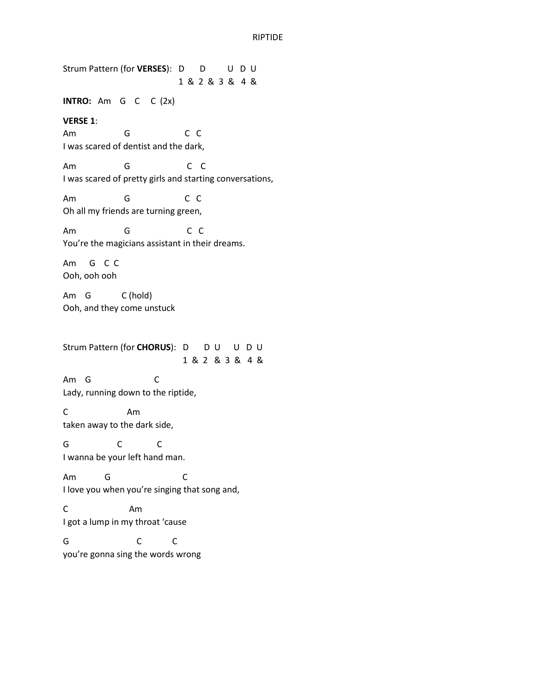Strum Pattern (for **VERSES**): D D U D U 1 & 2 & 3 & 4 & **INTRO:** Am G C C (2x) **VERSE 1**: Am G C C I was scared of dentist and the dark, Am G C C I was scared of pretty girls and starting conversations, Am G C C Oh all my friends are turning green, Am G C C You're the magicians assistant in their dreams. Am G C C Ooh, ooh ooh Am G C (hold) Ooh, and they come unstuck Strum Pattern (for **CHORUS**): D D U U D U 1 & 2 & 3 & 4 & Am G C Lady, running down to the riptide, C Am taken away to the dark side, G C C I wanna be your left hand man. Am G C I love you when you're singing that song and, C Am I got a lump in my throat 'cause G C C you're gonna sing the words wrong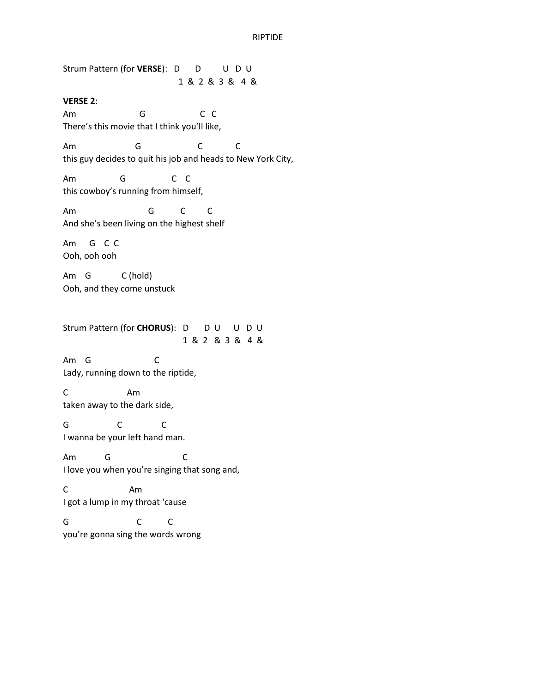Strum Pattern (for **VERSE**): D D U D U 1 & 2 & 3 & 4 &

**VERSE 2**:

Am G C C There's this movie that I think you'll like,

Am G C C this guy decides to quit his job and heads to New York City,

Am G C C this cowboy's running from himself,

Am G C C And she's been living on the highest shelf

Am G C C Ooh, ooh ooh

Am G C (hold) Ooh, and they come unstuck

Strum Pattern (for **CHORUS**): D D U U D U 1 & 2 & 3 & 4 &

Am G C Lady, running down to the riptide,

C Am taken away to the dark side,

G C C I wanna be your left hand man.

Am G C I love you when you're singing that song and,

C Am I got a lump in my throat 'cause

G C C you're gonna sing the words wrong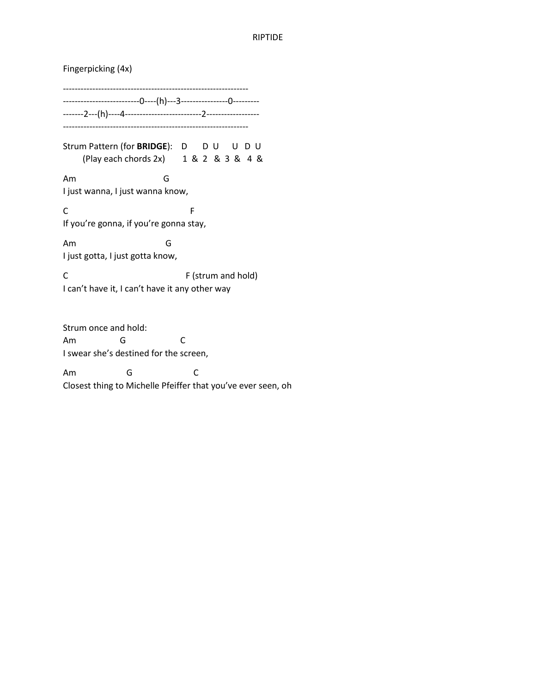Fingerpicking (4x) --------------------------------------------------------------- --------------------------0----(h)---3----------------0--------- -------2---(h)----4--------------------------2------------------ --------------------------------------------------------------- Strum Pattern (for **BRIDGE**): D D U U D U (Play each chords 2x) 1 & 2 & 3 & 4 & Am G I just wanna, I just wanna know, C<sub>F</sub> If you're gonna, if you're gonna stay, Am G I just gotta, I just gotta know, C F (strum and hold) I can't have it, I can't have it any other way Strum once and hold:

Am G C I swear she's destined for the screen,

Am G C Closest thing to Michelle Pfeiffer that you've ever seen, oh